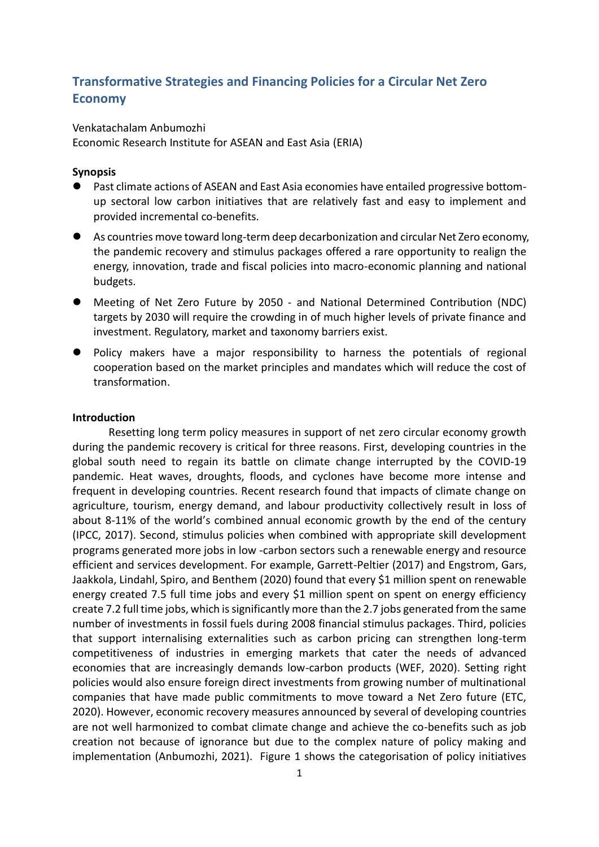# **Transformative Strategies and Financing Policies for a Circular Net Zero Economy**

Venkatachalam Anbumozhi

Economic Research Institute for ASEAN and East Asia (ERIA)

## **Synopsis**

- Past climate actions of ASEAN and East Asia economies have entailed progressive bottomup sectoral low carbon initiatives that are relatively fast and easy to implement and provided incremental co-benefits.
- As countries move toward long-term deep decarbonization and circular Net Zero economy, the pandemic recovery and stimulus packages offered a rare opportunity to realign the energy, innovation, trade and fiscal policies into macro-economic planning and national budgets.
- ⚫ Meeting of Net Zero Future by 2050 and National Determined Contribution (NDC) targets by 2030 will require the crowding in of much higher levels of private finance and investment. Regulatory, market and taxonomy barriers exist.
- ⚫ Policy makers have a major responsibility to harness the potentials of regional cooperation based on the market principles and mandates which will reduce the cost of transformation.

## **Introduction**

Resetting long term policy measures in support of net zero circular economy growth during the pandemic recovery is critical for three reasons. First, developing countries in the global south need to regain its battle on climate change interrupted by the COVID-19 pandemic. Heat waves, droughts, floods, and cyclones have become more intense and frequent in developing countries. Recent research found that impacts of climate change on agriculture, tourism, energy demand, and labour productivity collectively result in loss of about 8-11% of the world's combined annual economic growth by the end of the century (IPCC, 2017). Second, stimulus policies when combined with appropriate skill development programs generated more jobs in low -carbon sectors such a renewable energy and resource efficient and services development. For example, Garrett-Peltier (2017) and Engstrom, Gars, Jaakkola, Lindahl, Spiro, and Benthem (2020) found that every \$1 million spent on renewable energy created 7.5 full time jobs and every \$1 million spent on spent on energy efficiency create 7.2 full time jobs, which is significantly more than the 2.7 jobs generated from the same number of investments in fossil fuels during 2008 financial stimulus packages. Third, policies that support internalising externalities such as carbon pricing can strengthen long-term competitiveness of industries in emerging markets that cater the needs of advanced economies that are increasingly demands low-carbon products (WEF, 2020). Setting right policies would also ensure foreign direct investments from growing number of multinational companies that have made public commitments to move toward a Net Zero future (ETC, 2020). However, economic recovery measures announced by several of developing countries are not well harmonized to combat climate change and achieve the co-benefits such as job creation not because of ignorance but due to the complex nature of policy making and implementation (Anbumozhi, 2021). Figure 1 shows the categorisation of policy initiatives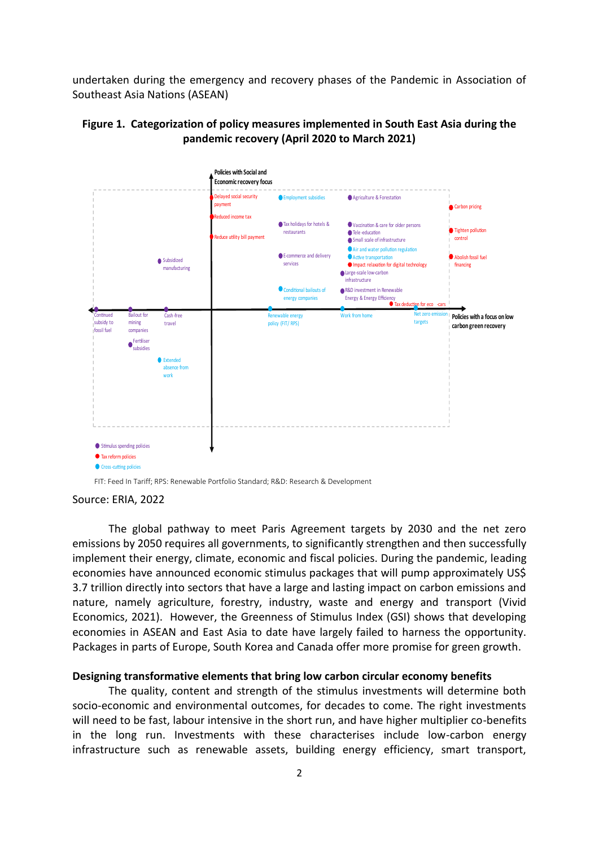undertaken during the emergency and recovery phases of the Pandemic in Association of Southeast Asia Nations (ASEAN)





FIT: Feed In Tariff: RPS: Renewable Portfolio Standard: R&D: Research & Development

Source: ERIA, 2022

The global pathway to meet Paris Agreement targets by 2030 and the net zero emissions by 2050 requires all governments, to significantly strengthen and then successfully implement their energy, climate, economic and fiscal policies. During the pandemic, leading economies have announced economic stimulus packages that will pump approximately US\$ 3.7 trillion directly into sectors that have a large and lasting impact on carbon emissions and nature, namely agriculture, forestry, industry, waste and energy and transport (Vivid Economics, 2021). However, the Greenness of Stimulus Index (GSI) shows that developing economies in ASEAN and East Asia to date have largely failed to harness the opportunity. Packages in parts of Europe, South Korea and Canada offer more promise for green growth.

#### **Designing transformative elements that bring low carbon circular economy benefits**

The quality, content and strength of the stimulus investments will determine both socio-economic and environmental outcomes, for decades to come. The right investments will need to be fast, labour intensive in the short run, and have higher multiplier co-benefits in the long run. Investments with these characterises include low-carbon energy infrastructure such as renewable assets, building energy efficiency, smart transport,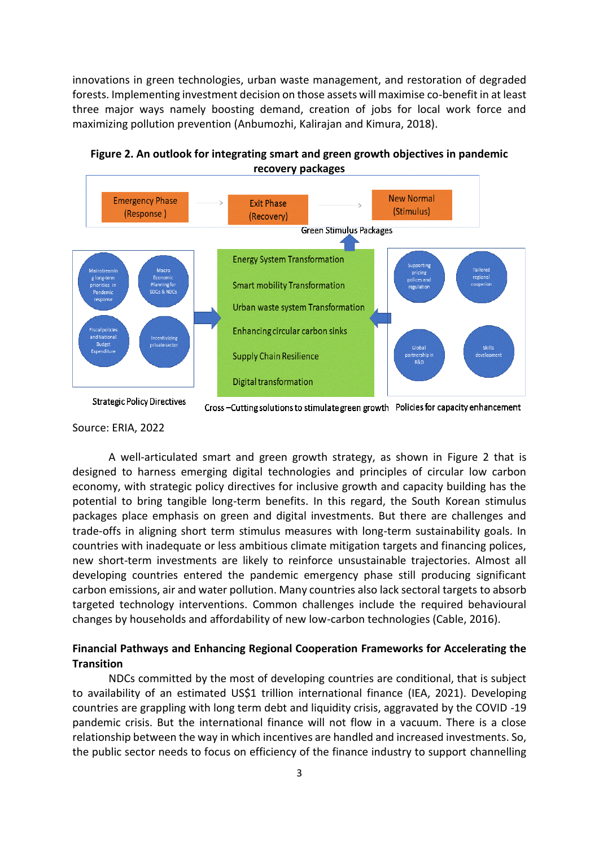innovations in green technologies, urban waste management, and restoration of degraded forests. Implementing investment decision on those assets will maximise co-benefit in at least three major ways namely boosting demand, creation of jobs for local work force and maximizing pollution prevention (Anbumozhi, Kalirajan and Kimura, 2018).



Figure 2. An outlook for integrating smart and green growth objectives in pandemic recovery packages

## Source: ERIA, 2022

A well-articulated smart and green growth strategy, as shown in Figure 2 that is designed to harness emerging digital technologies and principles of circular low carbon economy, with strategic policy directives for inclusive growth and capacity building has the potential to bring tangible long-term benefits. In this regard, the South Korean stimulus packages place emphasis on green and digital investments. But there are challenges and trade-offs in aligning short term stimulus measures with long-term sustainability goals. In countries with inadequate or less ambitious climate mitigation targets and financing polices, new short-term investments are likely to reinforce unsustainable trajectories. Almost all developing countries entered the pandemic emergency phase still producing significant carbon emissions, air and water pollution. Many countries also lack sectoral targets to absorb targeted technology interventions. Common challenges include the required behavioural changes by households and affordability of new low-carbon technologies (Cable, 2016).

# **Financial Pathways and Enhancing Regional Cooperation Frameworks for Accelerating the Transition**

NDCs committed by the most of developing countries are conditional, that is subject to availability of an estimated US\$1 trillion international finance (IEA, 2021). Developing countries are grappling with long term debt and liquidity crisis, aggravated by the COVID -19 pandemic crisis. But the international finance will not flow in a vacuum. There is a close relationship between the way in which incentives are handled and increased investments. So, the public sector needs to focus on efficiency of the finance industry to support channelling

**Strategic Policy Directives** 

Cross -Cutting solutions to stimulate green growth Policies for capacity enhancement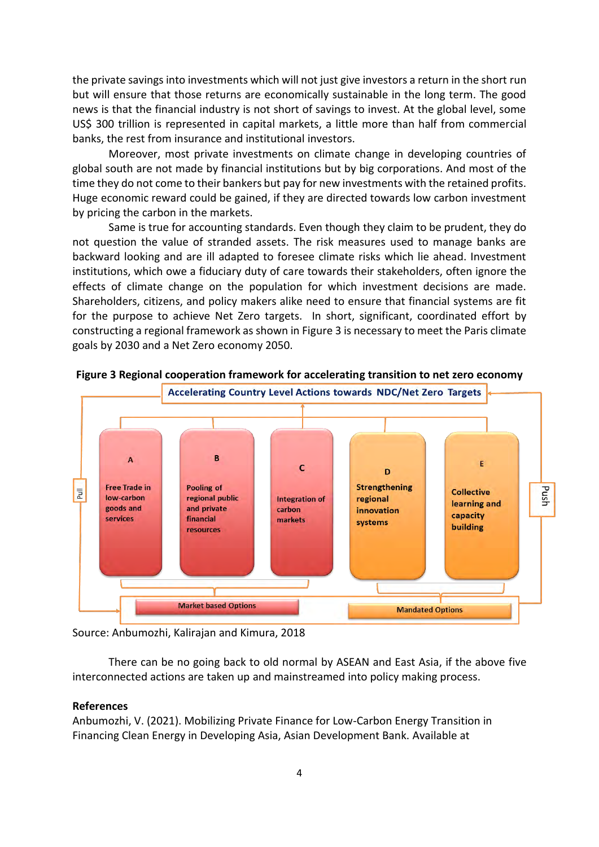the private savings into investments which will not just give investors a return in the short run but will ensure that those returns are economically sustainable in the long term. The good news is that the financial industry is not short of savings to invest. At the global level, some US\$ 300 trillion is represented in capital markets, a little more than half from commercial banks, the rest from insurance and institutional investors.

Moreover, most private investments on climate change in developing countries of global south are not made by financial institutions but by big corporations. And most of the time they do not come to their bankers but pay for new investments with the retained profits. Huge economic reward could be gained, if they are directed towards low carbon investment by pricing the carbon in the markets.

Same is true for accounting standards. Even though they claim to be prudent, they do not question the value of stranded assets. The risk measures used to manage banks are backward looking and are ill adapted to foresee climate risks which lie ahead. Investment institutions, which owe a fiduciary duty of care towards their stakeholders, often ignore the effects of climate change on the population for which investment decisions are made. Shareholders, citizens, and policy makers alike need to ensure that financial systems are fit for the purpose to achieve Net Zero targets. In short, significant, coordinated effort by constructing a regional framework as shown in Figure 3 is necessary to meet the Paris climate goals by 2030 and a Net Zero economy 2050.



**Figure 3 Regional cooperation framework for accelerating transition to net zero economy**

Source: Anbumozhi, Kalirajan and Kimura, 2018

There can be no going back to old normal by ASEAN and East Asia, if the above five interconnected actions are taken up and mainstreamed into policy making process.

### **References**

Anbumozhi, V. (2021). Mobilizing Private Finance for Low-Carbon Energy Transition in Financing Clean Energy in Developing Asia, Asian Development Bank. Available at